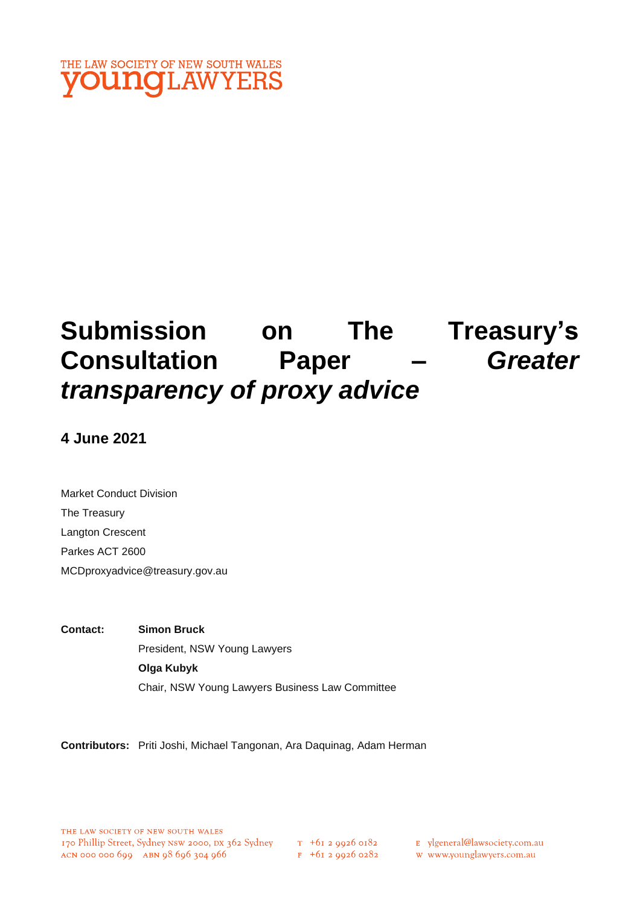

# **Submission on The Treasury's Consultation Paper –** *Greater transparency of proxy advice*

**4 June 2021**

Market Conduct Division The Treasury Langton Crescent Parkes ACT 2600 MCDproxyadvice@treasury.gov.au

**Contact: Simon Bruck** President, NSW Young Lawyers **Olga Kubyk**  Chair, NSW Young Lawyers Business Law Committee

**Contributors:** Priti Joshi, Michael Tangonan, Ara Daquinag, Adam Herman

 $F$  +61 2 9926 0282

E ylgeneral@lawsociety.com.au

w www.younglawyers.com.au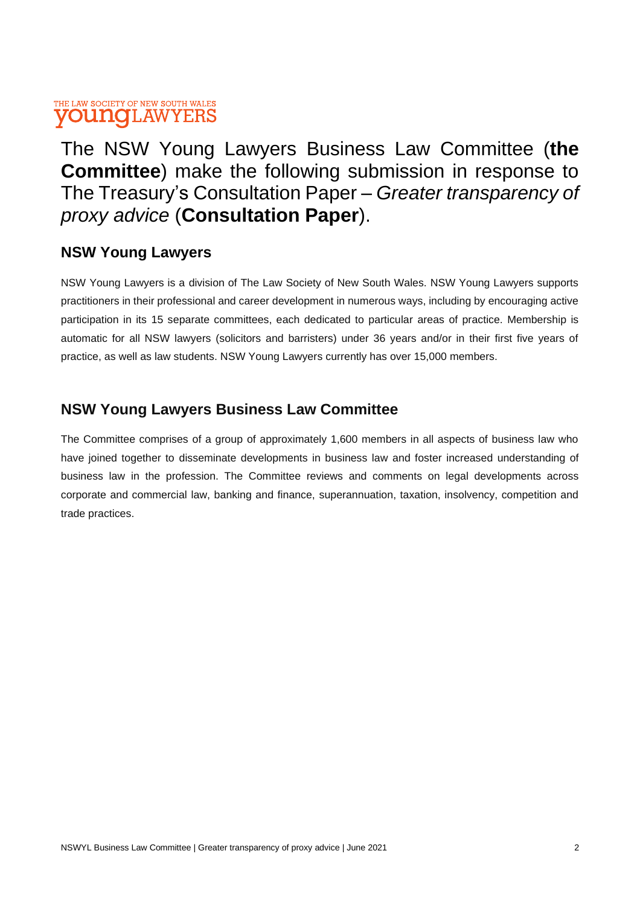The NSW Young Lawyers Business Law Committee (**the Committee**) make the following submission in response to The Treasury's Consultation Paper – *Greater transparency of proxy advice* (**Consultation Paper**).

### **NSW Young Lawyers**

NSW Young Lawyers is a division of The Law Society of New South Wales. NSW Young Lawyers supports practitioners in their professional and career development in numerous ways, including by encouraging active participation in its 15 separate committees, each dedicated to particular areas of practice. Membership is automatic for all NSW lawyers (solicitors and barristers) under 36 years and/or in their first five years of practice, as well as law students. NSW Young Lawyers currently has over 15,000 members.

### **NSW Young Lawyers Business Law Committee**

The Committee comprises of a group of approximately 1,600 members in all aspects of business law who have joined together to disseminate developments in business law and foster increased understanding of business law in the profession. The Committee reviews and comments on legal developments across corporate and commercial law, banking and finance, superannuation, taxation, insolvency, competition and trade practices.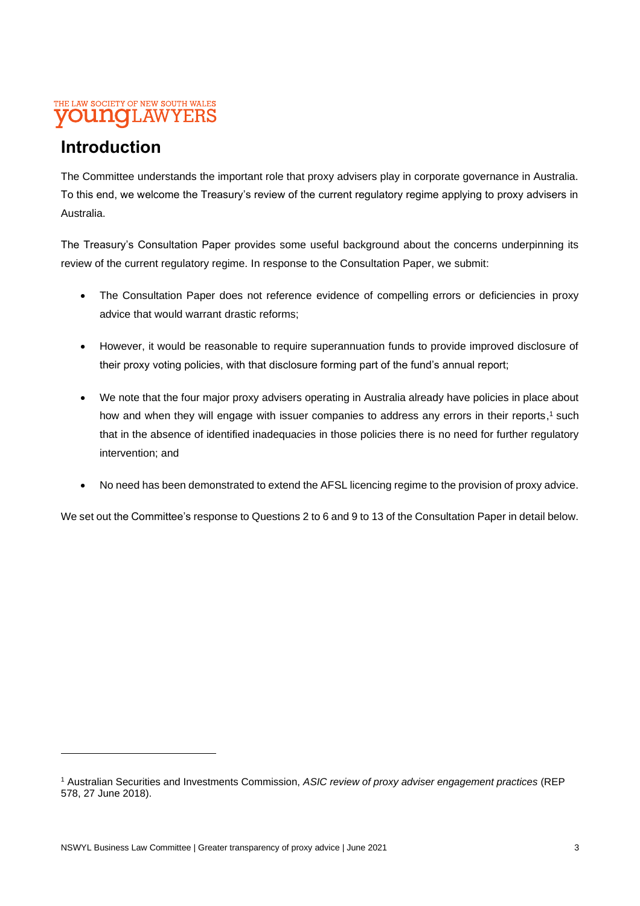# **Introduction**

The Committee understands the important role that proxy advisers play in corporate governance in Australia. To this end, we welcome the Treasury's review of the current regulatory regime applying to proxy advisers in Australia.

The Treasury's Consultation Paper provides some useful background about the concerns underpinning its review of the current regulatory regime. In response to the Consultation Paper, we submit:

- The Consultation Paper does not reference evidence of compelling errors or deficiencies in proxy advice that would warrant drastic reforms;
- However, it would be reasonable to require superannuation funds to provide improved disclosure of their proxy voting policies, with that disclosure forming part of the fund's annual report;
- We note that the four major proxy advisers operating in Australia already have policies in place about how and when they will engage with issuer companies to address any errors in their reports,<sup>1</sup> such that in the absence of identified inadequacies in those policies there is no need for further regulatory intervention; and
- No need has been demonstrated to extend the AFSL licencing regime to the provision of proxy advice.

We set out the Committee's response to Questions 2 to 6 and 9 to 13 of the Consultation Paper in detail below.

<sup>1</sup> Australian Securities and Investments Commission, *ASIC review of proxy adviser engagement practices* (REP 578, 27 June 2018).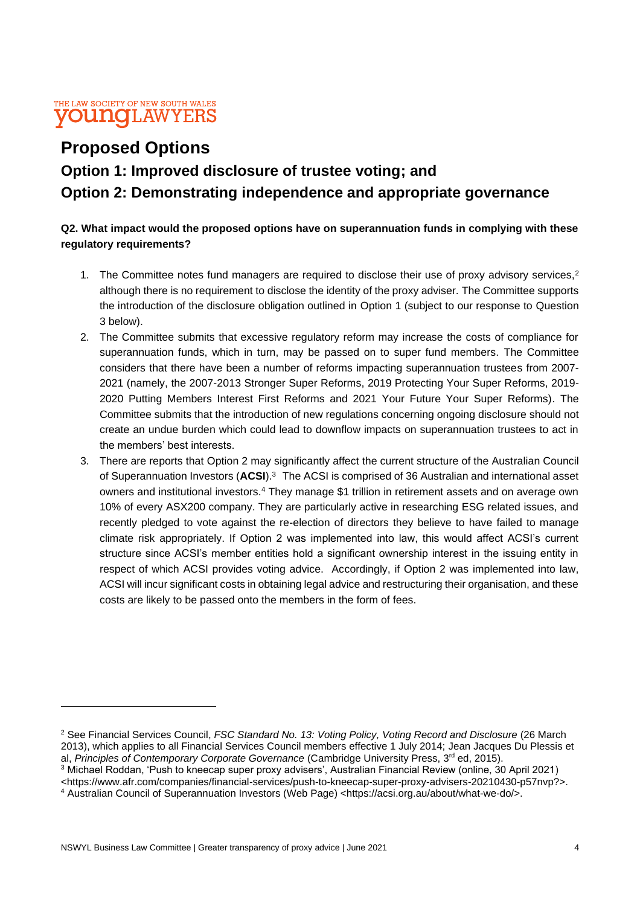## **Proposed Options**

# **Option 1: Improved disclosure of trustee voting; and Option 2: Demonstrating independence and appropriate governance**

### **Q2. What impact would the proposed options have on superannuation funds in complying with these regulatory requirements?**

- 1. The Committee notes fund managers are required to disclose their use of proxy advisory services,<sup>2</sup> although there is no requirement to disclose the identity of the proxy adviser. The Committee supports the introduction of the disclosure obligation outlined in Option 1 (subject to our response to Question 3 below).
- 2. The Committee submits that excessive regulatory reform may increase the costs of compliance for superannuation funds, which in turn, may be passed on to super fund members. The Committee considers that there have been a number of reforms impacting superannuation trustees from 2007- 2021 (namely, the 2007-2013 Stronger Super Reforms, 2019 Protecting Your Super Reforms, 2019- 2020 Putting Members Interest First Reforms and 2021 Your Future Your Super Reforms). The Committee submits that the introduction of new regulations concerning ongoing disclosure should not create an undue burden which could lead to downflow impacts on superannuation trustees to act in the members' best interests.
- 3. There are reports that Option 2 may significantly affect the current structure of the Australian Council of Superannuation Investors (**ACSI**).<sup>3</sup> The ACSI is comprised of 36 Australian and international asset owners and institutional investors.<sup>4</sup> They manage \$1 trillion in retirement assets and on average own 10% of every ASX200 company. They are particularly active in researching ESG related issues, and recently pledged to vote against the re-election of directors they believe to have failed to manage climate risk appropriately. If Option 2 was implemented into law, this would affect ACSI's current structure since ACSI's member entities hold a significant ownership interest in the issuing entity in respect of which ACSI provides voting advice. Accordingly, if Option 2 was implemented into law, ACSI will incur significant costs in obtaining legal advice and restructuring their organisation, and these costs are likely to be passed onto the members in the form of fees.

<sup>2</sup> See Financial Services Council, *FSC Standard No. 13: Voting Policy, Voting Record and Disclosure* (26 March 2013), which applies to all Financial Services Council members effective 1 July 2014; Jean Jacques Du Plessis et al, *Principles of Contemporary Corporate Governance* (Cambridge University Press, 3 rd ed, 2015).

<sup>3</sup> Michael Roddan, 'Push to kneecap super proxy advisers', Australian Financial Review (online, 30 April 2021) <https://www.afr.com/companies/financial-services/push-to-kneecap-super-proxy-advisers-20210430-p57nvp?>.

<sup>4</sup> Australian Council of Superannuation Investors (Web Page) <https://acsi.org.au/about/what-we-do/>.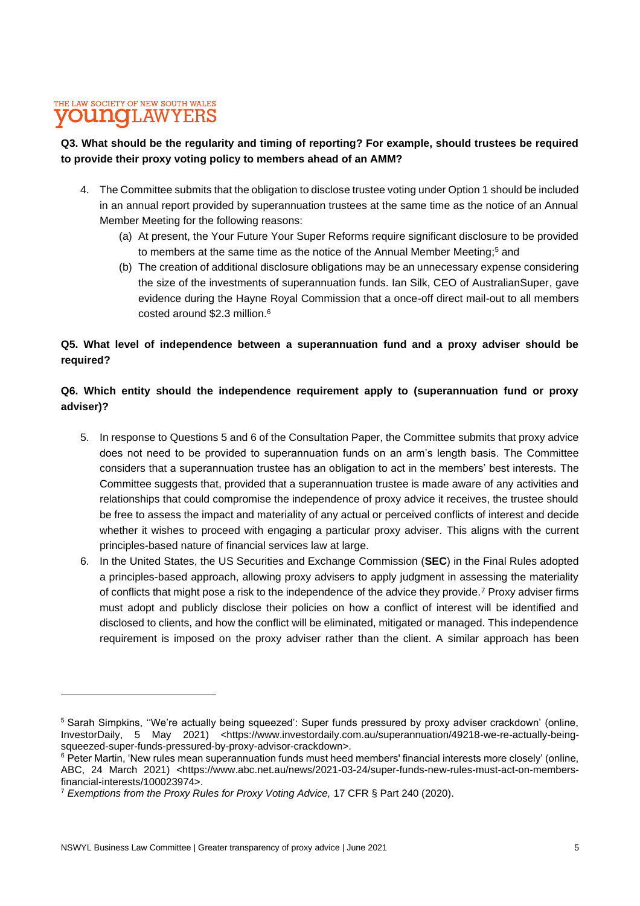#### **Q3. What should be the regularity and timing of reporting? For example, should trustees be required to provide their proxy voting policy to members ahead of an AMM?**

- 4. The Committee submits that the obligation to disclose trustee voting under Option 1 should be included in an annual report provided by superannuation trustees at the same time as the notice of an Annual Member Meeting for the following reasons:
	- (a) At present, the Your Future Your Super Reforms require significant disclosure to be provided to members at the same time as the notice of the Annual Member Meeting; <sup>5</sup> and
	- (b) The creation of additional disclosure obligations may be an unnecessary expense considering the size of the investments of superannuation funds. Ian Silk, CEO of AustralianSuper, gave evidence during the Hayne Royal Commission that a once-off direct mail-out to all members costed around \$2.3 million. 6

### **Q5. What level of independence between a superannuation fund and a proxy adviser should be required?**

### **Q6. Which entity should the independence requirement apply to (superannuation fund or proxy adviser)?**

- 5. In response to Questions 5 and 6 of the Consultation Paper, the Committee submits that proxy advice does not need to be provided to superannuation funds on an arm's length basis. The Committee considers that a superannuation trustee has an obligation to act in the members' best interests. The Committee suggests that, provided that a superannuation trustee is made aware of any activities and relationships that could compromise the independence of proxy advice it receives, the trustee should be free to assess the impact and materiality of any actual or perceived conflicts of interest and decide whether it wishes to proceed with engaging a particular proxy adviser. This aligns with the current principles-based nature of financial services law at large.
- 6. In the United States, the US Securities and Exchange Commission (**SEC**) in the Final Rules adopted a principles-based approach, allowing proxy advisers to apply judgment in assessing the materiality of conflicts that might pose a risk to the independence of the advice they provide.<sup>7</sup> Proxy adviser firms must adopt and publicly disclose their policies on how a conflict of interest will be identified and disclosed to clients, and how the conflict will be eliminated, mitigated or managed. This independence requirement is imposed on the proxy adviser rather than the client. A similar approach has been

<sup>5</sup> Sarah Simpkins, ''We're actually being squeezed': Super funds pressured by proxy adviser crackdown' (online, InvestorDaily, 5 May 2021) <https://www.investordaily.com.au/superannuation/49218-we-re-actually-beingsqueezed-super-funds-pressured-by-proxy-advisor-crackdown>.

<sup>&</sup>lt;sup>6</sup> Peter Martin, 'New rules mean superannuation funds must heed members' financial interests more closely' (online, ABC, 24 March 2021) <https://www.abc.net.au/news/2021-03-24/super-funds-new-rules-must-act-on-membersfinancial-interests/100023974>.

<sup>7</sup> *Exemptions from the Proxy Rules for Proxy Voting Advice,* 17 CFR § Part 240 (2020).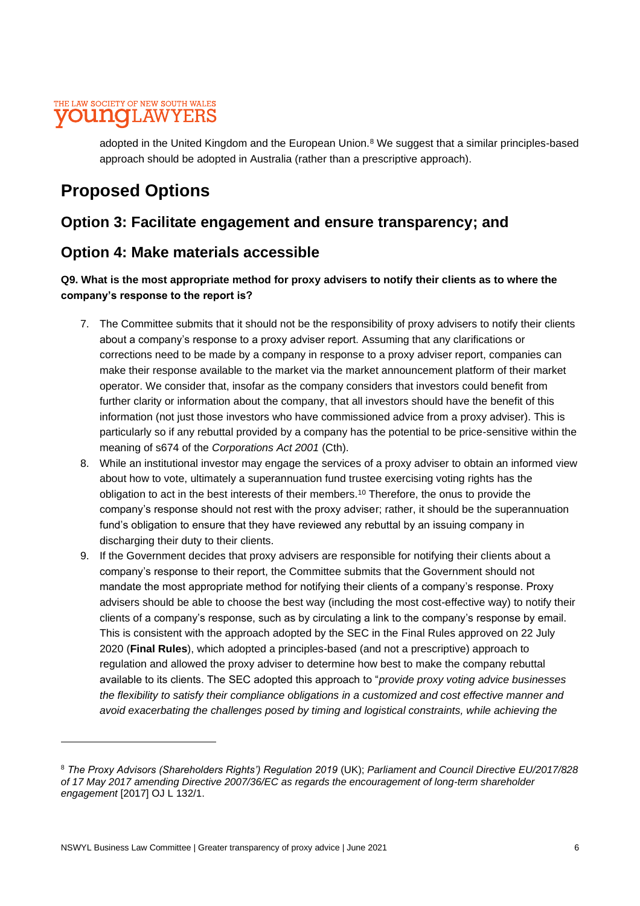### THE LAW SOCIETY OF NEW SOUTH WALES **YOUNG**LAWYERS

adopted in the United Kingdom and the European Union.<sup>8</sup> We suggest that a similar principles-based approach should be adopted in Australia (rather than a prescriptive approach).

### **Proposed Options**

### **Option 3: Facilitate engagement and ensure transparency; and**

### **Option 4: Make materials accessible**

#### **Q9. What is the most appropriate method for proxy advisers to notify their clients as to where the company's response to the report is?**

- 7. The Committee submits that it should not be the responsibility of proxy advisers to notify their clients about a company's response to a proxy adviser report. Assuming that any clarifications or corrections need to be made by a company in response to a proxy adviser report, companies can make their response available to the market via the market announcement platform of their market operator. We consider that, insofar as the company considers that investors could benefit from further clarity or information about the company, that all investors should have the benefit of this information (not just those investors who have commissioned advice from a proxy adviser). This is particularly so if any rebuttal provided by a company has the potential to be price-sensitive within the meaning of s674 of the *Corporations Act 2001* (Cth).
- 8. While an institutional investor may engage the services of a proxy adviser to obtain an informed view about how to vote, ultimately a superannuation fund trustee exercising voting rights has the obligation to act in the best interests of their members.<sup>10</sup> Therefore, the onus to provide the company's response should not rest with the proxy adviser; rather, it should be the superannuation fund's obligation to ensure that they have reviewed any rebuttal by an issuing company in discharging their duty to their clients.
- 9. If the Government decides that proxy advisers are responsible for notifying their clients about a company's response to their report, the Committee submits that the Government should not mandate the most appropriate method for notifying their clients of a company's response. Proxy advisers should be able to choose the best way (including the most cost-effective way) to notify their clients of a company's response, such as by circulating a link to the company's response by email. This is consistent with the approach adopted by the SEC in the Final Rules approved on 22 July 2020 (**Final Rules**), which adopted a principles-based (and not a prescriptive) approach to regulation and allowed the proxy adviser to determine how best to make the company rebuttal available to its clients. The SEC adopted this approach to "*provide proxy voting advice businesses the flexibility to satisfy their compliance obligations in a customized and cost effective manner and avoid exacerbating the challenges posed by timing and logistical constraints, while achieving the*

<sup>8</sup> *The Proxy Advisors (Shareholders Rights') Regulation 2019* (UK); *Parliament and Council Directive EU/2017/828 of 17 May 2017 amending Directive 2007/36/EC as regards the encouragement of long-term shareholder engagement* [2017] OJ L 132/1.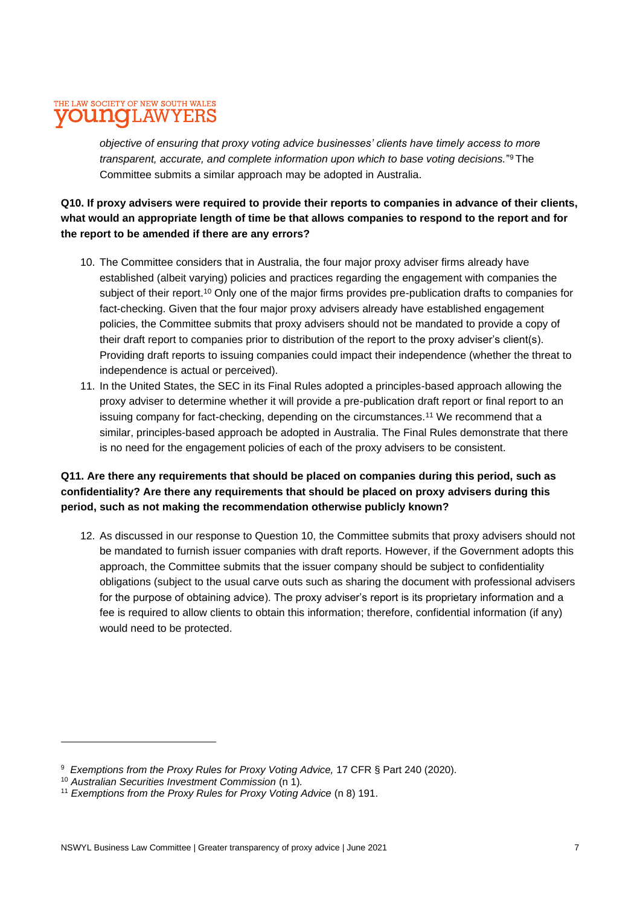### THE LAW SOCIETY OF NEW SOUTH WALES **YOUNG**LAWYERS

*objective of ensuring that proxy voting advice businesses' clients have timely access to more transparent, accurate, and complete information upon which to base voting decisions.*" <sup>9</sup> The Committee submits a similar approach may be adopted in Australia.

**Q10. If proxy advisers were required to provide their reports to companies in advance of their clients, what would an appropriate length of time be that allows companies to respond to the report and for the report to be amended if there are any errors?**

- 10. The Committee considers that in Australia, the four major proxy adviser firms already have established (albeit varying) policies and practices regarding the engagement with companies the subject of their report.<sup>10</sup> Only one of the major firms provides pre-publication drafts to companies for fact-checking. Given that the four major proxy advisers already have established engagement policies, the Committee submits that proxy advisers should not be mandated to provide a copy of their draft report to companies prior to distribution of the report to the proxy adviser's client(s). Providing draft reports to issuing companies could impact their independence (whether the threat to independence is actual or perceived).
- 11. In the United States, the SEC in its Final Rules adopted a principles-based approach allowing the proxy adviser to determine whether it will provide a pre-publication draft report or final report to an issuing company for fact-checking, depending on the circumstances.<sup>11</sup> We recommend that a similar, principles-based approach be adopted in Australia. The Final Rules demonstrate that there is no need for the engagement policies of each of the proxy advisers to be consistent.

### **Q11. Are there any requirements that should be placed on companies during this period, such as confidentiality? Are there any requirements that should be placed on proxy advisers during this period, such as not making the recommendation otherwise publicly known?**

12. As discussed in our response to Question 10, the Committee submits that proxy advisers should not be mandated to furnish issuer companies with draft reports. However, if the Government adopts this approach, the Committee submits that the issuer company should be subject to confidentiality obligations (subject to the usual carve outs such as sharing the document with professional advisers for the purpose of obtaining advice). The proxy adviser's report is its proprietary information and a fee is required to allow clients to obtain this information; therefore, confidential information (if any) would need to be protected.

<sup>9</sup> *Exemptions from the Proxy Rules for Proxy Voting Advice,* 17 CFR § Part 240 (2020).

<sup>10</sup> *Australian Securities Investment Commission* (n 1)*.*

<sup>&</sup>lt;sup>11</sup> Exemptions from the Proxy Rules for Proxy Voting Advice (n 8) 191.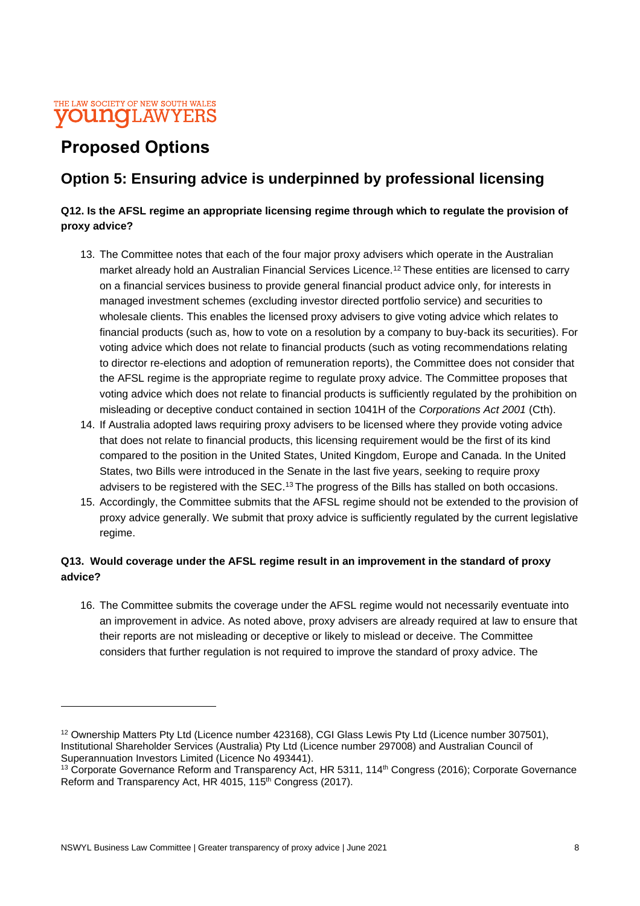

# **Proposed Options**

### **Option 5: Ensuring advice is underpinned by professional licensing**

#### **Q12. Is the AFSL regime an appropriate licensing regime through which to regulate the provision of proxy advice?**

- 13. The Committee notes that each of the four major proxy advisers which operate in the Australian market already hold an Australian Financial Services Licence.<sup>12</sup> These entities are licensed to carry on a financial services business to provide general financial product advice only, for interests in managed investment schemes (excluding investor directed portfolio service) and securities to wholesale clients. This enables the licensed proxy advisers to give voting advice which relates to financial products (such as, how to vote on a resolution by a company to buy-back its securities). For voting advice which does not relate to financial products (such as voting recommendations relating to director re-elections and adoption of remuneration reports), the Committee does not consider that the AFSL regime is the appropriate regime to regulate proxy advice. The Committee proposes that voting advice which does not relate to financial products is sufficiently regulated by the prohibition on misleading or deceptive conduct contained in section 1041H of the *Corporations Act 2001* (Cth).
- 14. If Australia adopted laws requiring proxy advisers to be licensed where they provide voting advice that does not relate to financial products, this licensing requirement would be the first of its kind compared to the position in the United States, United Kingdom, Europe and Canada. In the United States, two Bills were introduced in the Senate in the last five years, seeking to require proxy advisers to be registered with the SEC.<sup>13</sup> The progress of the Bills has stalled on both occasions.
- 15. Accordingly, the Committee submits that the AFSL regime should not be extended to the provision of proxy advice generally. We submit that proxy advice is sufficiently regulated by the current legislative regime.

### **Q13. Would coverage under the AFSL regime result in an improvement in the standard of proxy advice?**

16. The Committee submits the coverage under the AFSL regime would not necessarily eventuate into an improvement in advice. As noted above, proxy advisers are already required at law to ensure that their reports are not misleading or deceptive or likely to mislead or deceive. The Committee considers that further regulation is not required to improve the standard of proxy advice. The

<sup>&</sup>lt;sup>12</sup> Ownership Matters Pty Ltd (Licence number 423168), CGI Glass Lewis Pty Ltd (Licence number 307501), Institutional Shareholder Services (Australia) Pty Ltd (Licence number 297008) and Australian Council of Superannuation Investors Limited (Licence No 493441).

<sup>&</sup>lt;sup>13</sup> Corporate Governance Reform and Transparency Act, HR 5311, 114<sup>th</sup> Congress (2016); Corporate Governance Reform and Transparency Act, HR 4015, 115<sup>th</sup> Congress (2017).